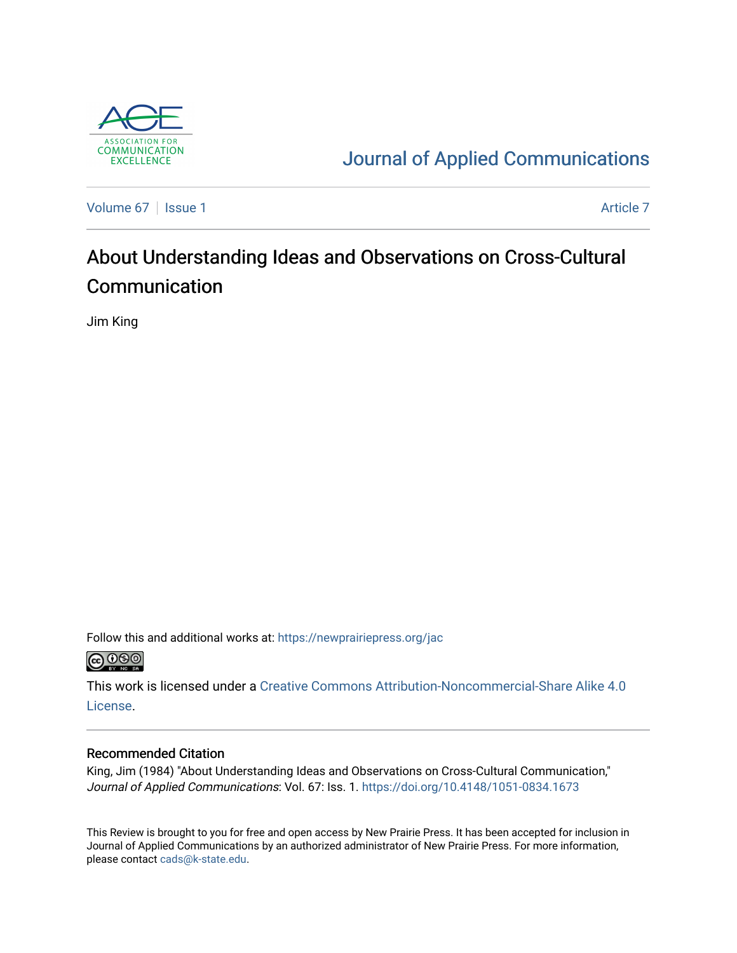

## [Journal of Applied Communications](https://newprairiepress.org/jac)

[Volume 67](https://newprairiepress.org/jac/vol67) | [Issue 1](https://newprairiepress.org/jac/vol67/iss1) Article 7

# About Understanding Ideas and Observations on Cross-Cultural Communication

Jim King

Follow this and additional works at: [https://newprairiepress.org/jac](https://newprairiepress.org/jac?utm_source=newprairiepress.org%2Fjac%2Fvol67%2Fiss1%2F7&utm_medium=PDF&utm_campaign=PDFCoverPages)  $\bigcirc$  0.90

This work is licensed under a [Creative Commons Attribution-Noncommercial-Share Alike 4.0](https://creativecommons.org/licenses/by-nc-sa/4.0/) [License.](https://creativecommons.org/licenses/by-nc-sa/4.0/)

### Recommended Citation

King, Jim (1984) "About Understanding Ideas and Observations on Cross-Cultural Communication," Journal of Applied Communications: Vol. 67: Iss. 1. <https://doi.org/10.4148/1051-0834.1673>

This Review is brought to you for free and open access by New Prairie Press. It has been accepted for inclusion in Journal of Applied Communications by an authorized administrator of New Prairie Press. For more information, please contact [cads@k-state.edu.](mailto:cads@k-state.edu)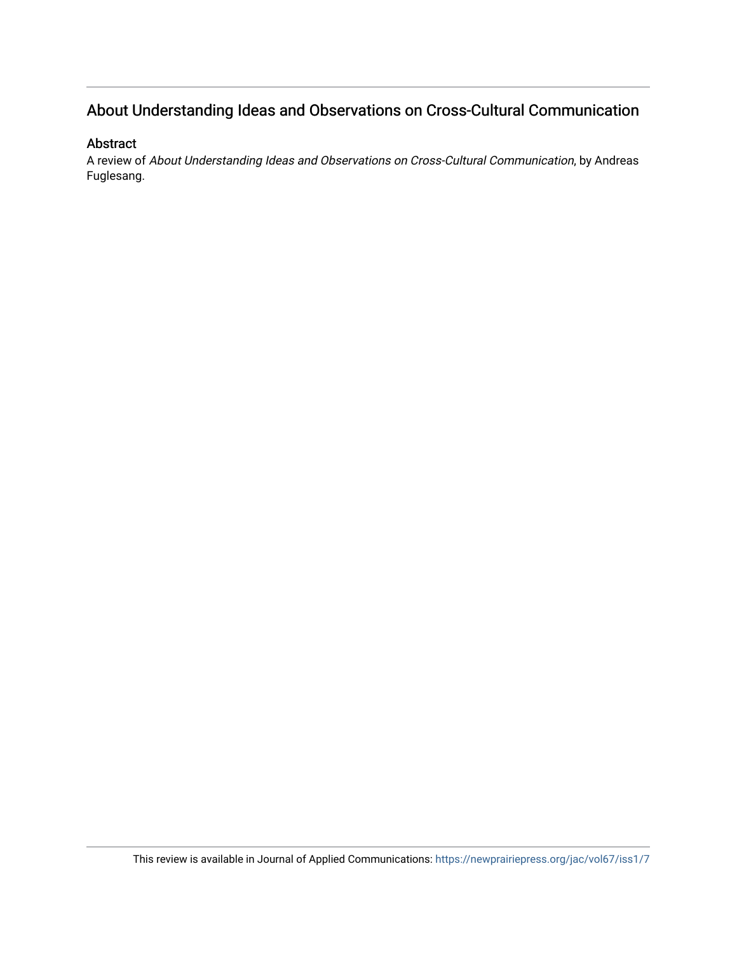## About Understanding Ideas and Observations on Cross-Cultural Communication

## Abstract

A review of About Understanding Ideas and Observations on Cross-Cultural Communication, by Andreas Fuglesang.